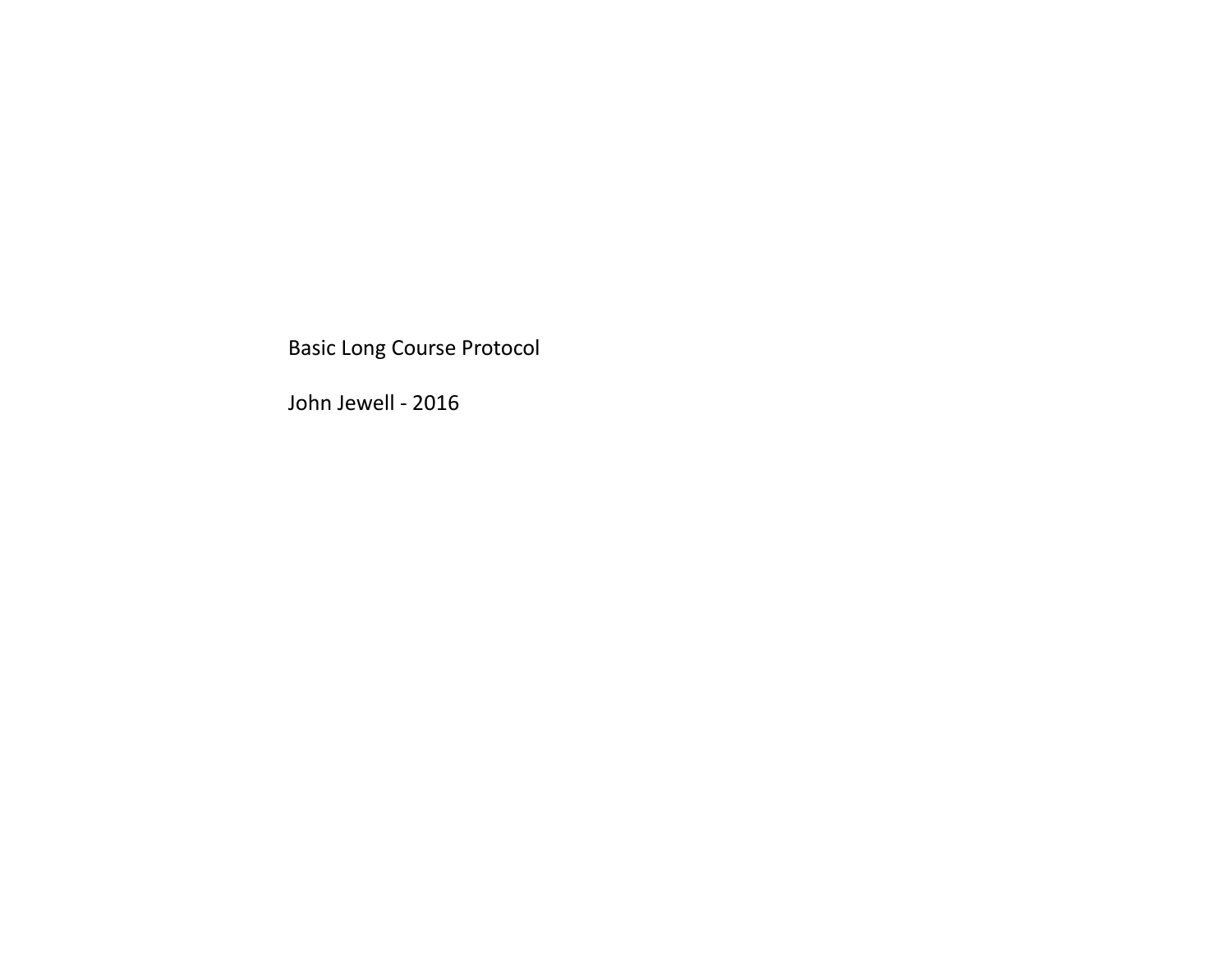Basic Long Course Protocol Basic Long Course Protocol<br>John Jewell - 2016<br>John Jewell - 2016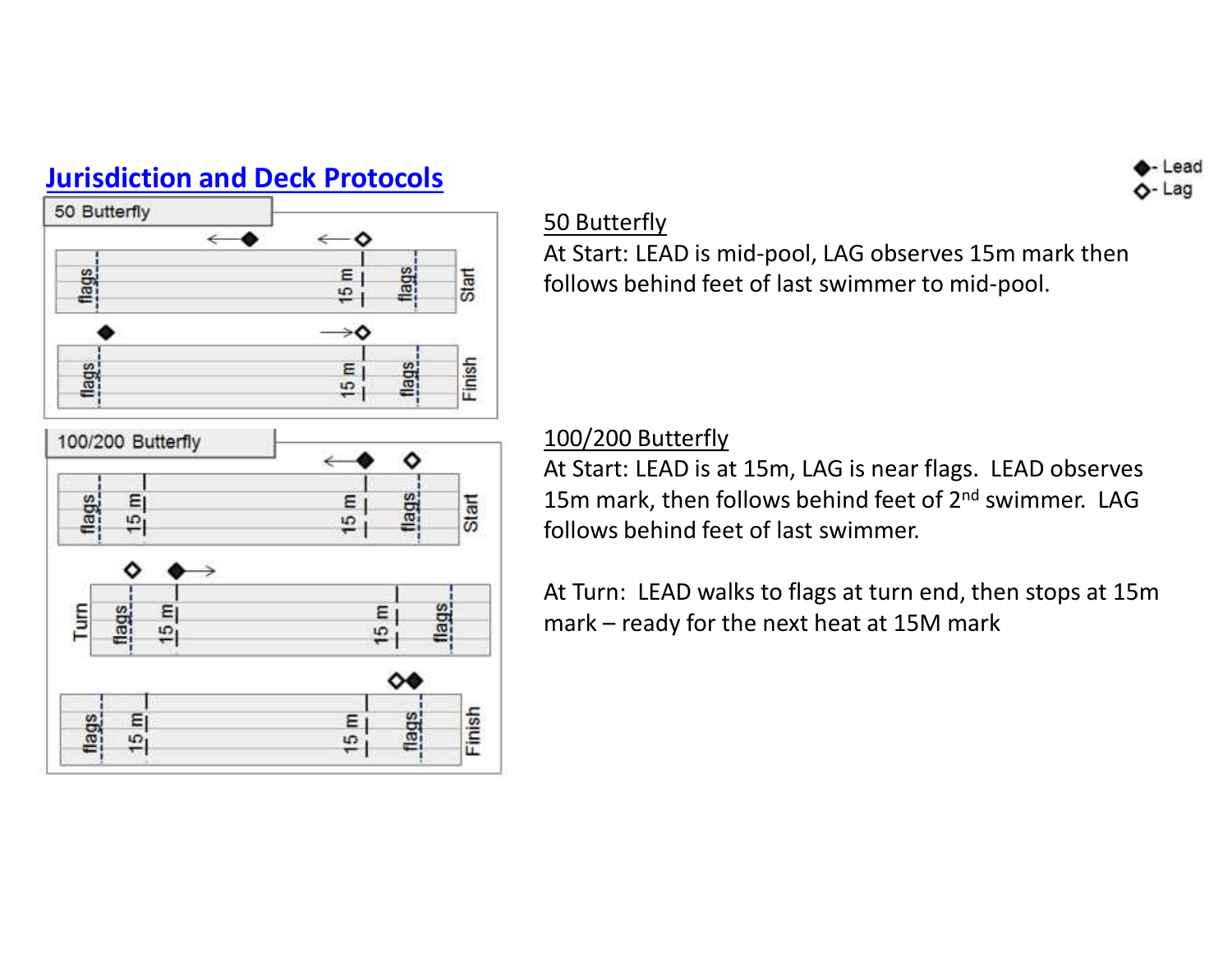

### 50 Butterfly

At Start: LEAD is mid-pool, LAG observes 15m mark then follows behind feet of last swimmer to mid-pool.

# 100/200 Butterfly

At Start: LEAD is at 15m, LAG is near flags. LEAD observes 15m mark, then follows behind feet of 2<sup>nd</sup> swimmer. LAG follows behind feet of last swimmer. At Start: LEAD is mid-pool, LAG observes 15m mark then<br>follows behind feet of last swimmer to mid-pool.<br>100/200 Butterfly<br>At Start: LEAD is at 15m, LAG is near flags. LEAD observe<br>15m mark, then follows behind feet of 2<sup>nd</sup>

At Turn: LEAD walks to flags at turn end, then stops at 15m



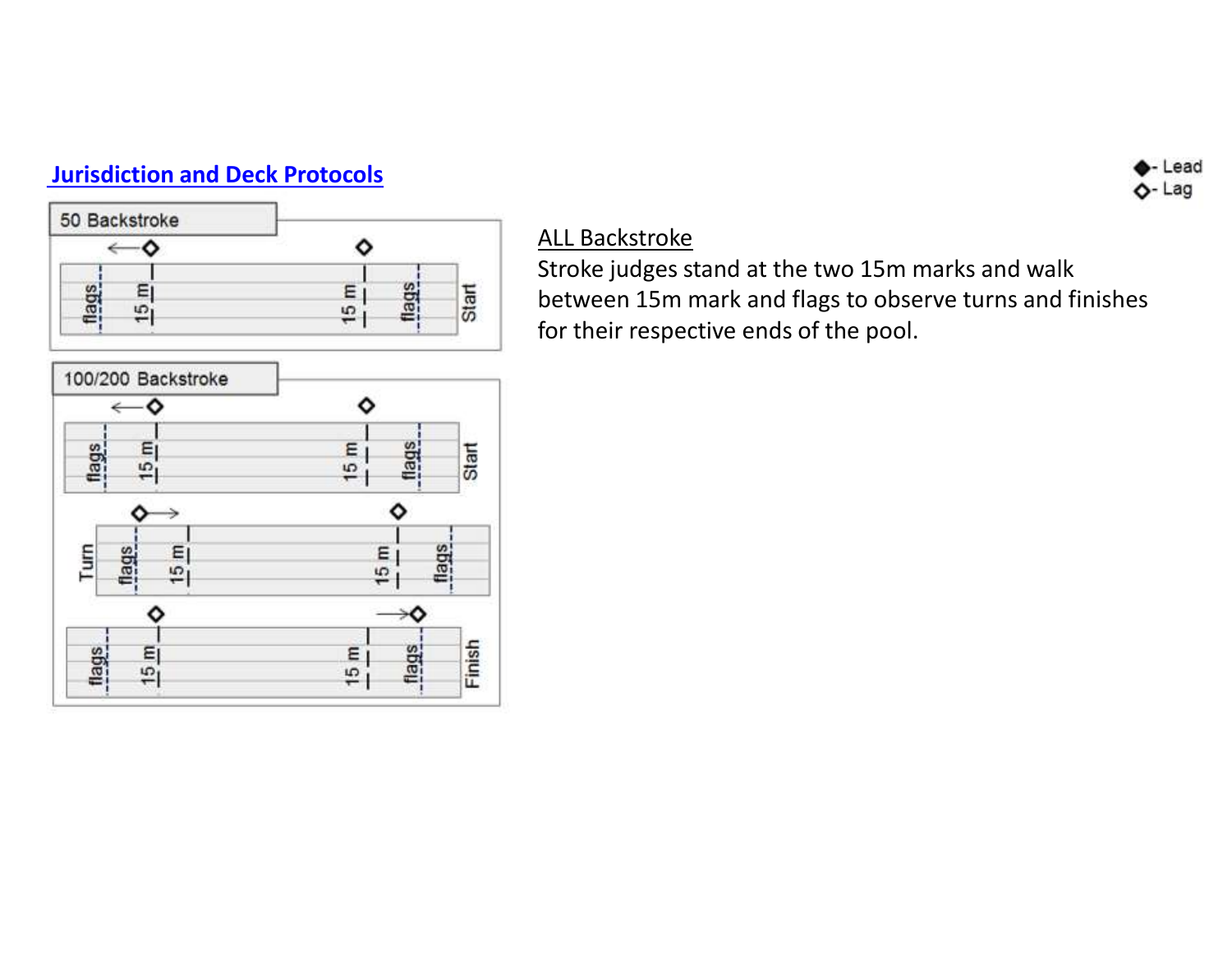



## ALL Backstroke

Stroke judges stand at the two 15m marks and walk between 15m mark and flags to observe turns and finishes for their respective ends of the pool.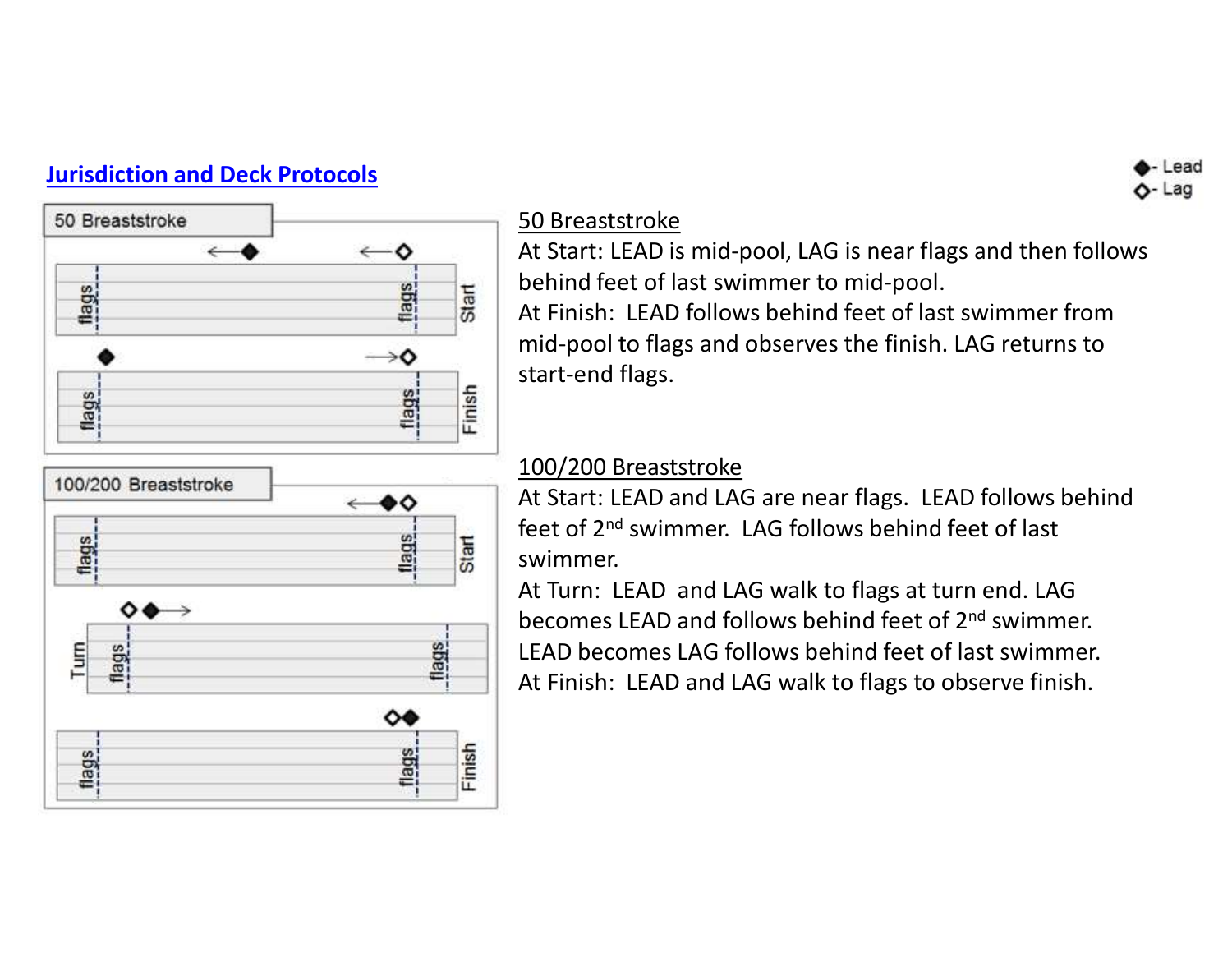

### 50 Breaststroke

At Start: LEAD is mid-pool, LAG is near flags and then follows behind feet of last swimmer to mid-pool. At Finish: LEAD follows behind feet of last swimmer from mid-pool to flags and observes the finish. LAG returns to start-end flags.

# 100/200 Breaststroke

At Start: LEAD and LAG are near flags. LEAD follows behind feet of 2nd swimmer. LAG follows behind feet of last swimmer.

At Turn: LEAD and LAG walk to flags at turn end. LAG becomes LEAD and follows behind feet of 2nd swimmer. LEAD becomes LAG follows behind feet of last swimmer. At Finish: LEAD and LAG walk to flags to observe finish.

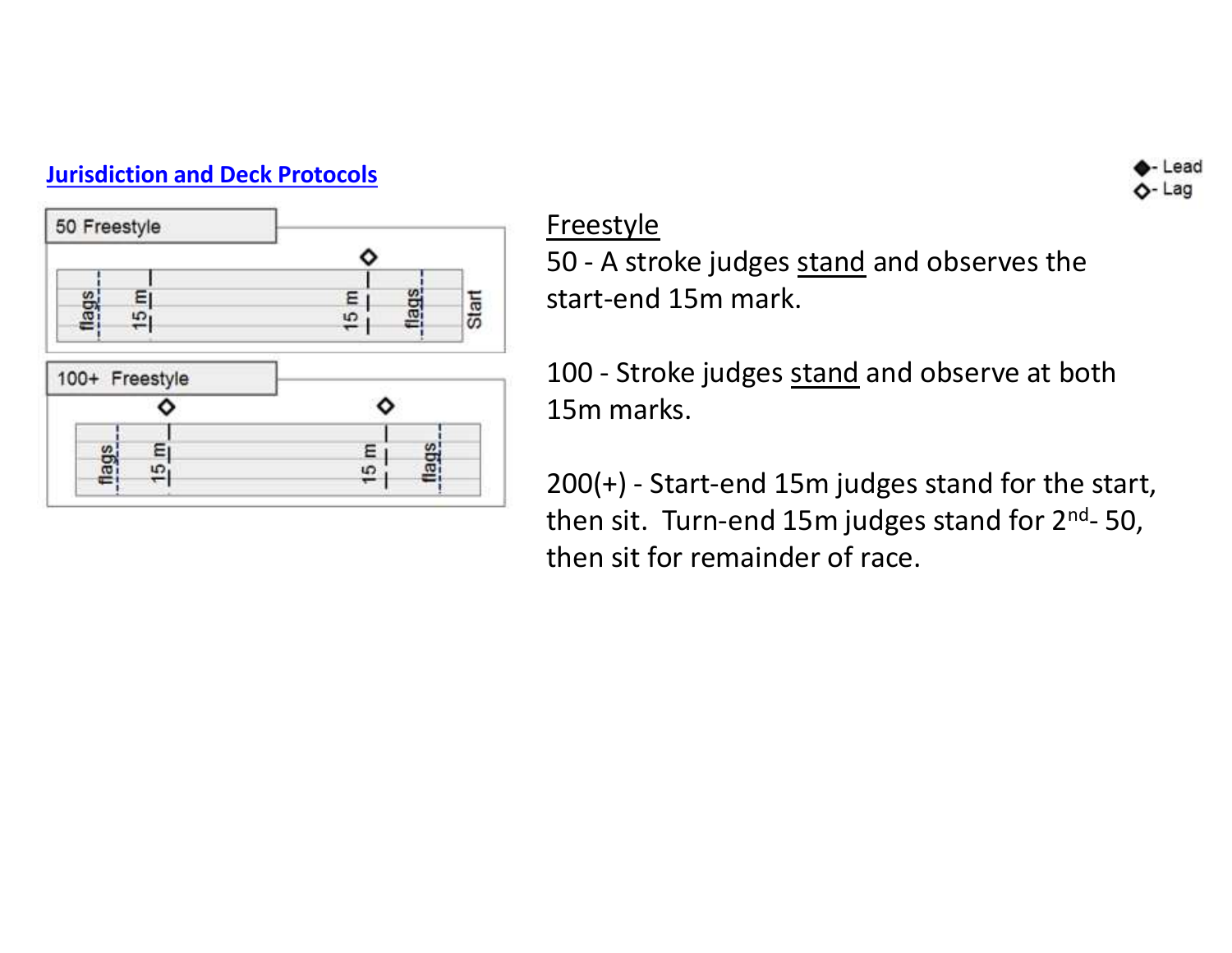

# **Freestyle**

Freestyle<br>
Freestyle<br>
50 - A stroke judges <u>stand</u> and observes the<br>
start-end 15m mark.<br>
100 - Stroke judges stand and observe at both start-end 15m mark.

Freestyle<br>
50 - A stroke judges <u>stand</u> and observes the<br>
start-end 15m mark.<br>
100 - Stroke judges <u>stand</u> and observe at both<br>
15m marks.<br>
200(+) - Start-end 15m judges stand for the start. 15m marks.

Ereestyle<br>
200 - A stroke judges <u>stand</u> and observes the<br>
start-end 15m mark.<br>
100 - Stroke judges <u>stand</u> and observe at both<br>
15m marks.<br>
200(+) - Start-end 15m judges stand for the start,<br>
then sit. Turn-end 15m judges Freestyle<br>
50 - A stroke judges <u>stand</u> and observes the<br>
start-end 15m mark.<br>
100 - Stroke judges <u>stand</u> and observe at both<br>
15m marks.<br>
200(+) - Start-end 15m judges stand for the start,<br>
then sit. Turn-end 15m judges then sit for remainder of race.